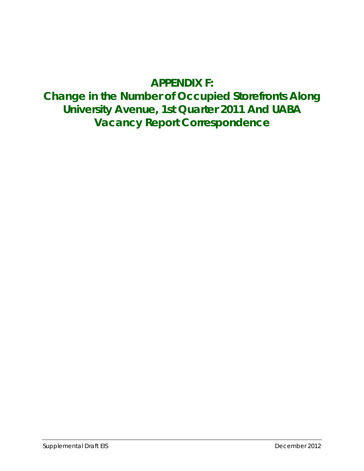# **APPENDIX F:**

# **Change in the Number of Occupied Storefronts Along University Avenue, 1st Quarter 2011 And UABA Vacancy Report Correspondence**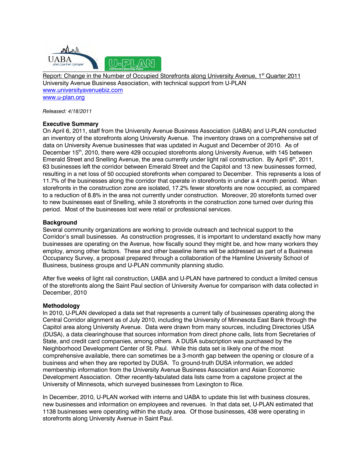

Report: Change in the Number of Occupied Storefronts along University Avenue, 1<sup>st</sup> Quarter 2011 University Avenue Business Association, with technical support from U-PLAN www.universityavenuebiz.com www.u-plan.org

*Released: 4/18/2011*

## **Executive Summary**

On April 6, 2011, staff from the University Avenue Business Association (UABA) and U-PLAN conducted an inventory of the storefronts along University Avenue. The inventory draws on a comprehensive set of data on University Avenue businesses that was updated in August and December of 2010. As of December 15<sup>th</sup>, 2010, there were 429 occupied storefronts along University Avenue, with 145 between Emerald Street and Snelling Avenue, the area currently under light rail construction. By April 6<sup>th</sup>, 2011, 63 businesses left the corridor between Emerald Street and the Capitol and 13 new businesses formed, resulting in a net loss of 50 occupied storefronts when compared to December. This represents a loss of 11.7% of the businesses along the corridor that operate in storefronts in under a 4 month period. When storefronts in the construction zone are isolated, 17.2% fewer storefonts are now occupied, as compared to a reduction of 8.8% in the area not currently under construction. Moreover, 20 storefonts turned over to new businesses east of Snelling, while 3 storefronts in the construction zone turned over during this period. Most of the businesses lost were retail or professional services.

#### **Background**

Several community organizations are working to provide outreach and technical support to the Corridor's small businesses. As construction progresses, it is important to understand exactly how many businesses are operating on the Avenue, how fiscally sound they might be, and how many workers they employ, among other factors. These and other baseline items will be addressed as part of a Business Occupancy Survey, a proposal prepared through a collaboration of the Hamline University School of Business, business groups and U-PLAN community planning studio.

After five weeks of light rail construction, UABA and U-PLAN have partnered to conduct a limited census of the storefronts along the Saint Paul section of University Avenue for comparison with data collected in December, 2010

#### **Methodology**

In 2010, U-PLAN developed a data set that represents a current tally of businesses operating along the Central Corridor alignment as of July 2010, including the University of Minnesota East Bank through the Capitol area along University Avenue. Data were drawn from many sources, including Directories USA (DUSA), a data clearinghouse that sources information from direct phone calls, lists from Secretaries of State, and credit card companies, among others. A DUSA subscription was purchased by the Neighborhood Development Center of St. Paul. While this data set is likely one of the most comprehensive available, there can sometimes be a 3-month gap between the opening or closure of a business and when they are reported by DUSA. To ground-truth DUSA information, we added membership information from the University Avenue Business Association and Asian Economic Development Association. Other recently-tabulated data lists came from a capstone project at the University of Minnesota, which surveyed businesses from Lexington to Rice.

In December, 2010, U-PLAN worked with interns and UABA to update this list with business closures, new businesses and information on employees and revenues. In that data set, U-PLAN estimated that 1138 businesses were operating within the study area. Of those businesses, 438 were operating in storefronts along University Avenue in Saint Paul.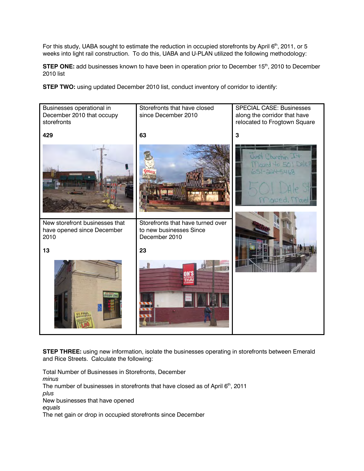For this study, UABA sought to estimate the reduction in occupied storefronts by April 6<sup>th</sup>, 2011, or 5 weeks into light rail construction. To do this, UABA and U-PLAN utilized the following methodology:

**STEP ONE:** add businesses known to have been in operation prior to December 15<sup>th</sup>, 2010 to December 2010 list

**STEP TWO:** using updated December 2010 list, conduct inventory of corridor to identify:



**STEP THREE:** using new information, isolate the businesses operating in storefronts between Emerald and Rice Streets. Calculate the following:

Total Number of Businesses in Storefronts, December *minus*  The number of businesses in storefronts that have closed as of April  $6<sup>th</sup>$ , 2011 *plus* New businesses that have opened *equals* The net gain or drop in occupied storefronts since December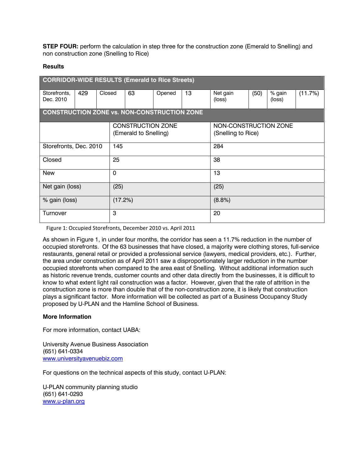**STEP FOUR:** perform the calculation in step three for the construction zone (Emerald to Snelling) and non construction zone (Snelling to Rice)

#### **Results**

| <b>CORRIDOR-WIDE RESULTS (Emerald to Rice Streets)</b> |     |                                                   |             |    |        |                                             |                    |      |                  |         |  |  |  |
|--------------------------------------------------------|-----|---------------------------------------------------|-------------|----|--------|---------------------------------------------|--------------------|------|------------------|---------|--|--|--|
| Storefronts,<br>Dec. 2010                              | 429 | Closed                                            |             | 63 | Opened | 13                                          | Net gain<br>(loss) | (50) | % gain<br>(loss) | (11.7%) |  |  |  |
| <b>CONSTRUCTION ZONE vs. NON-CONSTRUCTION ZONE</b>     |     |                                                   |             |    |        |                                             |                    |      |                  |         |  |  |  |
|                                                        |     | <b>CONSTRUCTION ZONE</b><br>(Emerald to Snelling) |             |    |        | NON-CONSTRUCTION ZONE<br>(Snelling to Rice) |                    |      |                  |         |  |  |  |
| Storefronts, Dec. 2010                                 |     | 145                                               |             |    |        | 284                                         |                    |      |                  |         |  |  |  |
| Closed                                                 |     |                                                   | 25          |    |        |                                             | 38                 |      |                  |         |  |  |  |
| <b>New</b>                                             |     |                                                   | $\mathbf 0$ |    |        |                                             | 13                 |      |                  |         |  |  |  |
| Net gain (loss)                                        |     |                                                   | (25)        |    |        |                                             | (25)               |      |                  |         |  |  |  |
| % gain (loss)                                          |     |                                                   | (17.2%)     |    |        |                                             | (8.8%)             |      |                  |         |  |  |  |
| Turnover                                               |     |                                                   | 3           |    |        |                                             | 20                 |      |                  |         |  |  |  |

Figure 1: Occupied Storefronts, December 2010 vs. April 2011

As shown in Figure 1, in under four months, the corridor has seen a 11.7% reduction in the number of occupied storefronts. Of the 63 businesses that have closed, a majority were clothing stores, full-service restaurants, general retail or provided a professional service (lawyers, medical providers, etc.). Further, the area under construction as of April 2011 saw a disproportionately larger reduction in the number occupied storefronts when compared to the area east of Snelling. Without additional information such as historic revenue trends, customer counts and other data directly from the businesses, it is difficult to know to what extent light rail construction was a factor. However, given that the rate of attrition in the construction zone is more than double that of the non-construction zone, it is likely that construction plays a significant factor. More information will be collected as part of a Business Occupancy Study proposed by U-PLAN and the Hamline School of Business.

## **More Information**

For more information, contact UABA:

University Avenue Business Association (651) 641-0334 www.universityavenuebiz.com

For questions on the technical aspects of this study, contact U-PLAN:

U-PLAN community planning studio (651) 641-0293 www.u-plan.org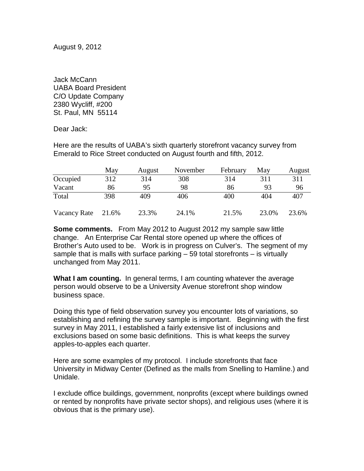August 9, 2012

Jack McCann UABA Board President C/O Update Company 2380 Wycliff, #200 St. Paul, MN 55114

Dear Jack:

Here are the results of UABA's sixth quarterly storefront vacancy survey from Emerald to Rice Street conducted on August fourth and fifth, 2012.

|              | May   | August | November | February | May   | August |
|--------------|-------|--------|----------|----------|-------|--------|
| Occupied     | 312   | 314    | 308      | 314      | 311   | 311    |
| Vacant       | 86    | 95     | 98       | 86       | 93    | 96     |
| Total        | 398   | 409    | 406      | 400      | 404   | 407    |
| Vacancy Rate | 21.6% | 23.3%  | 24.1%    | 21.5%    | 23.0% | 23.6%  |

**Some comments.** From May 2012 to August 2012 my sample saw little change. An Enterprise Car Rental store opened up where the offices of Brother's Auto used to be. Work is in progress on Culver's. The segment of my sample that is malls with surface parking – 59 total storefronts – is virtually unchanged from May 2011.

**What I am counting.** In general terms, I am counting whatever the average person would observe to be a University Avenue storefront shop window business space.

Doing this type of field observation survey you encounter lots of variations, so establishing and refining the survey sample is important. Beginning with the first survey in May 2011, I established a fairly extensive list of inclusions and exclusions based on some basic definitions. This is what keeps the survey apples-to-apples each quarter.

Here are some examples of my protocol. I include storefronts that face University in Midway Center (Defined as the malls from Snelling to Hamline.) and Unidale.

I exclude office buildings, government, nonprofits (except where buildings owned or rented by nonprofits have private sector shops), and religious uses (where it is obvious that is the primary use).